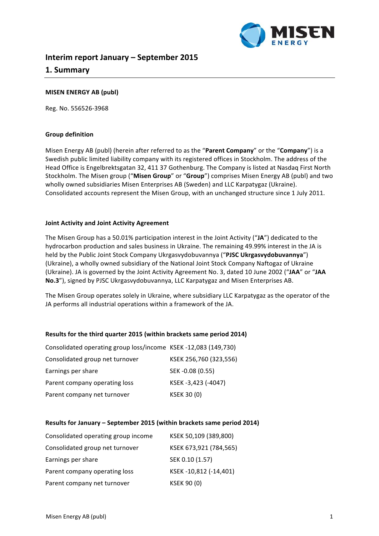

# **Interim report January – September 2015 1. Summary**

# **MISEN ENERGY AB (publ)**

Reg. No. 556526-3968

### **Group definition**

Misen Energy AB (publ) (herein after referred to as the "Parent Company" or the "Company") is a Swedish public limited liability company with its registered offices in Stockholm. The address of the Head Office is Engelbrektsgatan 32, 411 37 Gothenburg. The Company is listed at Nasdaq First North Stockholm. The Misen group ("Misen Group" or "Group") comprises Misen Energy AB (publ) and two wholly owned subsidiaries Misen Enterprises AB (Sweden) and LLC Karpatygaz (Ukraine). Consolidated accounts represent the Misen Group, with an unchanged structure since 1 July 2011.

### **Joint Activity and Joint Activity Agreement**

The Misen Group has a 50.01% participation interest in the Joint Activity ("JA") dedicated to the hydrocarbon production and sales business in Ukraine. The remaining 49.99% interest in the JA is held by the Public Joint Stock Company Ukrgasvydobuvannya ("PJSC Ukrgasvydobuvannya") (Ukraine), a wholly owned subsidiary of the National Joint Stock Company Naftogaz of Ukraine (Ukraine). JA is governed by the Joint Activity Agreement No. 3, dated 10 June 2002 ("JAA" or "JAA No.3"), signed by PJSC Ukrgasvydobuvannya, LLC Karpatygaz and Misen Enterprises AB.

The Misen Group operates solely in Ukraine, where subsidiary LLC Karpatygaz as the operator of the JA performs all industrial operations within a framework of the JA.

#### **Results for the third quarter 2015 (within brackets same period 2014)**

| Consolidated operating group loss/income KSEK-12,083 (149,730) |                        |
|----------------------------------------------------------------|------------------------|
| Consolidated group net turnover                                | KSEK 256,760 (323,556) |
| Earnings per share                                             | SEK -0.08 (0.55)       |
| Parent company operating loss                                  | KSEK-3,423 (-4047)     |
| Parent company net turnover                                    | <b>KSEK 30 (0)</b>     |

#### **Results for January – September 2015 (within brackets same period 2014)**

| Consolidated operating group income | KSEK 50,109 (389,800)  |
|-------------------------------------|------------------------|
| Consolidated group net turnover     | KSEK 673,921 (784,565) |
| Earnings per share                  | SEK 0.10 (1.57)        |
| Parent company operating loss       | KSEK-10,812 (-14,401)  |
| Parent company net turnover         | <b>KSEK 90 (0)</b>     |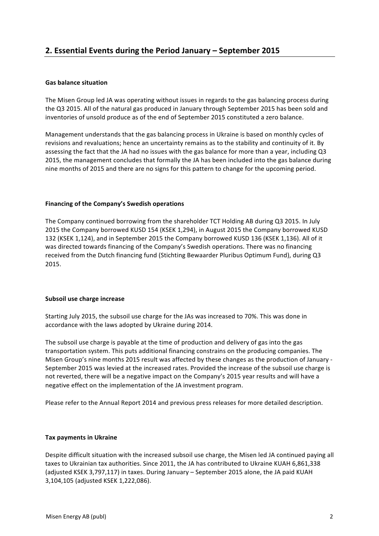# **Gas balance situation**

The Misen Group led JA was operating without issues in regards to the gas balancing process during the Q3 2015. All of the natural gas produced in January through September 2015 has been sold and inventories of unsold produce as of the end of September 2015 constituted a zero balance.

Management understands that the gas balancing process in Ukraine is based on monthly cycles of revisions and revaluations; hence an uncertainty remains as to the stability and continuity of it. By assessing the fact that the JA had no issues with the gas balance for more than a vear, including Q3 2015, the management concludes that formally the JA has been included into the gas balance during nine months of 2015 and there are no signs for this pattern to change for the upcoming period.

# Financing of the Company's Swedish operations

The Company continued borrowing from the shareholder TCT Holding AB during Q3 2015. In July 2015 the Company borrowed KUSD 154 (KSEK 1,294), in August 2015 the Company borrowed KUSD 132 (KSEK 1,124), and in September 2015 the Company borrowed KUSD 136 (KSEK 1,136). All of it was directed towards financing of the Company's Swedish operations. There was no financing received from the Dutch financing fund (Stichting Bewaarder Pluribus Optimum Fund), during Q3 2015.

# **Subsoil use charge increase**

Starting July 2015, the subsoil use charge for the JAs was increased to 70%. This was done in accordance with the laws adopted by Ukraine during 2014.

The subsoil use charge is payable at the time of production and delivery of gas into the gas transportation system. This puts additional financing constrains on the producing companies. The Misen Group's nine months 2015 result was affected by these changes as the production of January -September 2015 was levied at the increased rates. Provided the increase of the subsoil use charge is not reverted, there will be a negative impact on the Company's 2015 year results and will have a negative effect on the implementation of the JA investment program.

Please refer to the Annual Report 2014 and previous press releases for more detailed description.

# **Tax payments in Ukraine**

Despite difficult situation with the increased subsoil use charge, the Misen led JA continued paying all taxes to Ukrainian tax authorities. Since 2011, the JA has contributed to Ukraine KUAH 6,861,338 (adjusted KSEK 3,797,117) in taxes. During January - September 2015 alone, the JA paid KUAH 3,104,105 (adjusted KSEK 1,222,086).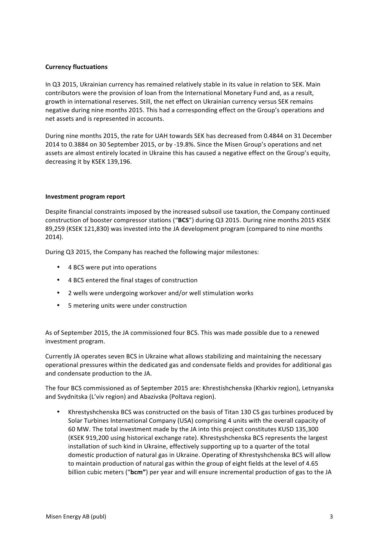# **Currency fluctuations**

In Q3 2015, Ukrainian currency has remained relatively stable in its value in relation to SEK. Main contributors were the provision of loan from the International Monetary Fund and, as a result, growth in international reserves. Still, the net effect on Ukrainian currency versus SEK remains negative during nine months 2015. This had a corresponding effect on the Group's operations and net assets and is represented in accounts.

During nine months 2015, the rate for UAH towards SEK has decreased from 0.4844 on 31 December 2014 to 0.3884 on 30 September 2015, or by -19.8%. Since the Misen Group's operations and net assets are almost entirely located in Ukraine this has caused a negative effect on the Group's equity, decreasing it by KSEK 139,196.

### **Investment program report**

Despite financial constraints imposed by the increased subsoil use taxation, the Company continued construction of booster compressor stations ("BCS") during Q3 2015. During nine months 2015 KSEK 89,259 (KSEK 121,830) was invested into the JA development program (compared to nine months 2014).

During Q3 2015, the Company has reached the following major milestones:

- 4 BCS were put into operations
- 4 BCS entered the final stages of construction
- 2 wells were undergoing workover and/or well stimulation works
- 5 metering units were under construction

As of September 2015, the JA commissioned four BCS. This was made possible due to a renewed investment program.

Currently JA operates seven BCS in Ukraine what allows stabilizing and maintaining the necessary operational pressures within the dedicated gas and condensate fields and provides for additional gas and condensate production to the JA.

The four BCS commissioned as of September 2015 are: Khrestishchenska (Kharkiv region), Letnyanska and Svydnitska (L'viv region) and Abazivska (Poltava region).

Khrestyshchenska BCS was constructed on the basis of Titan 130 CS gas turbines produced by Solar Turbines International Company (USA) comprising 4 units with the overall capacity of 60 MW. The total investment made by the JA into this project constitutes KUSD 135,300 (KSEK 919,200 using historical exchange rate). Khrestyshchenska BCS represents the largest installation of such kind in Ukraine, effectively supporting up to a quarter of the total domestic production of natural gas in Ukraine. Operating of Khrestyshchenska BCS will allow to maintain production of natural gas within the group of eight fields at the level of 4.65 billion cubic meters ("bcm") per year and will ensure incremental production of gas to the JA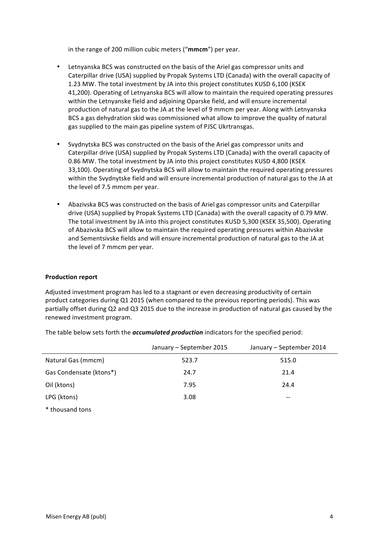in the range of 200 million cubic meters ("mmcm") per year.

- Letnyanska BCS was constructed on the basis of the Ariel gas compressor units and Caterpillar drive (USA) supplied by Propak Systems LTD (Canada) with the overall capacity of 1.23 MW. The total investment by JA into this project constitutes KUSD 6,100 (KSEK 41,200). Operating of Letnyanska BCS will allow to maintain the required operating pressures within the Letnyanske field and adjoining Oparske field, and will ensure incremental production of natural gas to the JA at the level of 9 mmcm per year. Along with Letnyanska BCS a gas dehydration skid was commissioned what allow to improve the quality of natural gas supplied to the main gas pipeline system of PJSC Ukrtransgas.
- Svydnytska BCS was constructed on the basis of the Ariel gas compressor units and Caterpillar drive (USA) supplied by Propak Systems LTD (Canada) with the overall capacity of 0.86 MW. The total investment by JA into this project constitutes KUSD 4,800 (KSEK 33,100). Operating of Svydnytska BCS will allow to maintain the required operating pressures within the Syydnytske field and will ensure incremental production of natural gas to the JA at the level of 7.5 mmcm per year.
- Abazivska BCS was constructed on the basis of Ariel gas compressor units and Caterpillar drive (USA) supplied by Propak Systems LTD (Canada) with the overall capacity of 0.79 MW. The total investment by JA into this project constitutes KUSD 5,300 (KSEK 35,500). Operating of Abazivska BCS will allow to maintain the required operating pressures within Abazivske and Sementsivske fields and will ensure incremental production of natural gas to the JA at the level of 7 mmcm per year.

#### **Production report**

Adjusted investment program has led to a stagnant or even decreasing productivity of certain product categories during Q1 2015 (when compared to the previous reporting periods). This was partially offset during Q2 and Q3 2015 due to the increase in production of natural gas caused by the renewed investment program.

|                         | January - September 2015 | January - September 2014 |
|-------------------------|--------------------------|--------------------------|
| Natural Gas (mmcm)      | 523.7                    | 515.0                    |
| Gas Condensate (ktons*) | 24.7                     | 21.4                     |
| Oil (ktons)             | 7.95                     | 24.4                     |
| LPG (ktons)             | 3.08                     | $\overline{\phantom{m}}$ |
|                         |                          |                          |

The table below sets forth the *accumulated production* indicators for the specified period:

\* thousand tons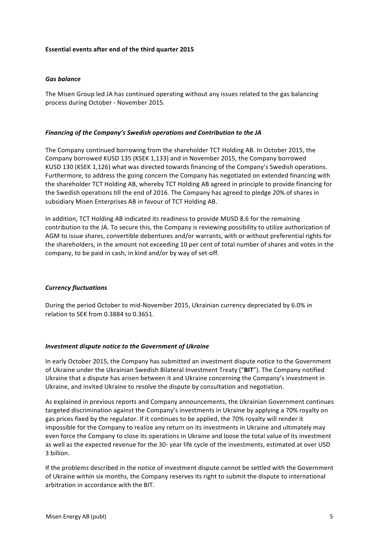## **Essential events after end of the third quarter 2015**

### *Gas balance*

The Misen Group led JA has continued operating without any issues related to the gas balancing process during October - November 2015.

#### *Financing of the Company's Swedish operations and Contribution to the JA*

The Company continued borrowing from the shareholder TCT Holding AB. In October 2015, the Company borrowed KUSD 135 (KSEK 1,133) and in November 2015, the Company borrowed KUSD 130 (KSEK 1,126) what was directed towards financing of the Company's Swedish operations. Furthermore, to address the going concern the Company has negotiated on extended financing with the shareholder TCT Holding AB, whereby TCT Holding AB agreed in principle to provide financing for the Swedish operations till the end of 2016. The Company has agreed to pledge 20% of shares in subsidiary Misen Enterprises AB in favour of TCT Holding AB.

In addition, TCT Holding AB indicated its readiness to provide MUSD 8.6 for the remaining contribution to the JA. To secure this, the Company is reviewing possibility to utilize authorization of AGM to issue shares, convertible debentures and/or warrants, with or without preferential rights for the shareholders, in the amount not exceeding 10 per cent of total number of shares and votes in the company, to be paid in cash, in kind and/or by way of set-off.

# *Currency fluctuations*

During the period October to mid-November 2015, Ukrainian currency depreciated by 6.0% in relation to SEK from 0.3884 to 0.3651.

#### *Investment dispute notice to the Government of Ukraine*

In early October 2015, the Company has submitted an investment dispute notice to the Government of Ukraine under the Ukrainian Swedish Bilateral Investment Treaty ("BIT"). The Company notified Ukraine that a dispute has arisen between it and Ukraine concerning the Company's investment in Ukraine, and invited Ukraine to resolve the dispute by consultation and negotiation.

As explained in previous reports and Company announcements, the Ukrainian Government continues targeted discrimination against the Company's investments in Ukraine by applying a 70% royalty on gas prices fixed by the regulator. If it continues to be applied, the 70% royalty will render it impossible for the Company to realize any return on its investments in Ukraine and ultimately may even force the Company to close its operations in Ukraine and loose the total value of its investment as well as the expected revenue for the 30- year life cycle of the investments, estimated at over USD 3 billion.

If the problems described in the notice of investment dispute cannot be settled with the Government of Ukraine within six months, the Company reserves its right to submit the dispute to international arbitration in accordance with the BIT.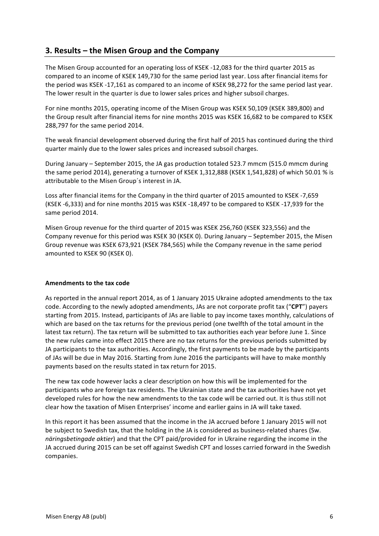# **3. Results – the Misen Group and the Company**

The Misen Group accounted for an operating loss of KSEK -12,083 for the third quarter 2015 as compared to an income of KSEK 149,730 for the same period last year. Loss after financial items for the period was KSEK -17,161 as compared to an income of KSEK 98,272 for the same period last year. The lower result in the quarter is due to lower sales prices and higher subsoil charges.

For nine months 2015, operating income of the Misen Group was KSEK 50,109 (KSEK 389,800) and the Group result after financial items for nine months 2015 was KSEK 16,682 to be compared to KSEK 288,797 for the same period 2014.

The weak financial development observed during the first half of 2015 has continued during the third quarter mainly due to the lower sales prices and increased subsoil charges.

During January – September 2015, the JA gas production totaled 523.7 mmcm (515.0 mmcm during the same period 2014), generating a turnover of KSEK 1,312,888 (KSEK 1,541,828) of which 50.01 % is attributable to the Misen Group's interest in JA.

Loss after financial items for the Company in the third quarter of 2015 amounted to KSEK -7,659 (KSEK -6,333) and for nine months 2015 was KSEK -18,497 to be compared to KSEK -17,939 for the same period 2014.

Misen Group revenue for the third quarter of 2015 was KSEK 256,760 (KSEK 323,556) and the Company revenue for this period was KSEK 30 (KSEK 0). During January – September 2015, the Misen Group revenue was KSEK 673,921 (KSEK 784,565) while the Company revenue in the same period amounted to KSEK 90 (KSEK 0).

# **Amendments to the tax code**

As reported in the annual report 2014, as of 1 January 2015 Ukraine adopted amendments to the tax code. According to the newly adopted amendments, JAs are not corporate profit tax ("CPT") payers starting from 2015. Instead, participants of JAs are liable to pay income taxes monthly, calculations of which are based on the tax returns for the previous period (one twelfth of the total amount in the latest tax return). The tax return will be submitted to tax authorities each year before June 1. Since the new rules came into effect 2015 there are no tax returns for the previous periods submitted by JA participants to the tax authorities. Accordingly, the first payments to be made by the participants of JAs will be due in May 2016. Starting from June 2016 the participants will have to make monthly payments based on the results stated in tax return for 2015.

The new tax code however lacks a clear description on how this will be implemented for the participants who are foreign tax residents. The Ukrainian state and the tax authorities have not yet developed rules for how the new amendments to the tax code will be carried out. It is thus still not clear how the taxation of Misen Enterprises' income and earlier gains in JA will take taxed.

In this report it has been assumed that the income in the JA accrued before 1 January 2015 will not be subject to Swedish tax, that the holding in the JA is considered as business-related shares (Sw. *näringsbetingade aktier*) and that the CPT paid/provided for in Ukraine regarding the income in the JA accrued during 2015 can be set off against Swedish CPT and losses carried forward in the Swedish companies.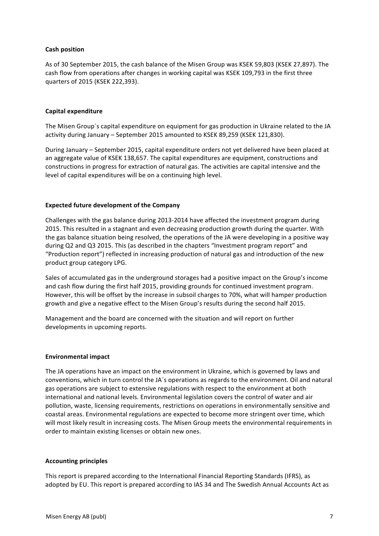# **Cash position**

As of 30 September 2015, the cash balance of the Misen Group was KSEK 59,803 (KSEK 27,897). The cash flow from operations after changes in working capital was KSEK 109,793 in the first three quarters of 2015 (KSEK 222,393). 

## **Capital expenditure**

The Misen Group's capital expenditure on equipment for gas production in Ukraine related to the JA activity during January - September 2015 amounted to KSEK 89,259 (KSEK 121,830).

During January – September 2015, capital expenditure orders not yet delivered have been placed at an aggregate value of KSEK 138,657. The capital expenditures are equipment, constructions and constructions in progress for extraction of natural gas. The activities are capital intensive and the level of capital expenditures will be on a continuing high level.

### **Expected future development of the Company**

Challenges with the gas balance during 2013-2014 have affected the investment program during 2015. This resulted in a stagnant and even decreasing production growth during the quarter. With the gas balance situation being resolved, the operations of the JA were developing in a positive way during Q2 and Q3 2015. This (as described in the chapters "Investment program report" and "Production report") reflected in increasing production of natural gas and introduction of the new product group category LPG.

Sales of accumulated gas in the underground storages had a positive impact on the Group's income and cash flow during the first half 2015, providing grounds for continued investment program. However, this will be offset by the increase in subsoil charges to 70%, what will hamper production growth and give a negative effect to the Misen Group's results during the second half 2015.

Management and the board are concerned with the situation and will report on further developments in upcoming reports.

#### **Environmental impact**

The JA operations have an impact on the environment in Ukraine, which is governed by laws and conventions, which in turn control the JA's operations as regards to the environment. Oil and natural gas operations are subject to extensive regulations with respect to the environment at both international and national levels. Environmental legislation covers the control of water and air pollution, waste, licensing requirements, restrictions on operations in environmentally sensitive and coastal areas. Environmental regulations are expected to become more stringent over time, which will most likely result in increasing costs. The Misen Group meets the environmental requirements in order to maintain existing licenses or obtain new ones.

#### **Accounting principles**

This report is prepared according to the International Financial Reporting Standards (IFRS), as adopted by EU. This report is prepared according to IAS 34 and The Swedish Annual Accounts Act as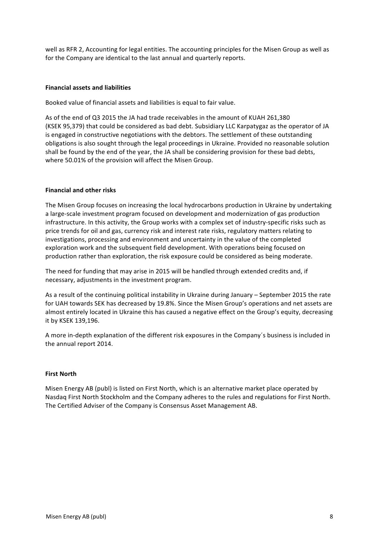well as RFR 2, Accounting for legal entities. The accounting principles for the Misen Group as well as for the Company are identical to the last annual and quarterly reports.

## **Financial assets and liabilities**

Booked value of financial assets and liabilities is equal to fair value.

As of the end of Q3 2015 the JA had trade receivables in the amount of KUAH 261,380 (KSEK 95,379) that could be considered as bad debt. Subsidiary LLC Karpatygaz as the operator of JA is engaged in constructive negotiations with the debtors. The settlement of these outstanding obligations is also sought through the legal proceedings in Ukraine. Provided no reasonable solution shall be found by the end of the year, the JA shall be considering provision for these bad debts, where 50.01% of the provision will affect the Misen Group.

### **Financial and other risks**

The Misen Group focuses on increasing the local hydrocarbons production in Ukraine by undertaking a large-scale investment program focused on development and modernization of gas production infrastructure. In this activity, the Group works with a complex set of industry-specific risks such as price trends for oil and gas, currency risk and interest rate risks, regulatory matters relating to investigations, processing and environment and uncertainty in the value of the completed exploration work and the subsequent field development. With operations being focused on production rather than exploration, the risk exposure could be considered as being moderate.

The need for funding that may arise in 2015 will be handled through extended credits and, if necessary, adjustments in the investment program.

As a result of the continuing political instability in Ukraine during January – September 2015 the rate for UAH towards SEK has decreased by 19.8%. Since the Misen Group's operations and net assets are almost entirely located in Ukraine this has caused a negative effect on the Group's equity, decreasing it by KSEK 139,196.

A more in-depth explanation of the different risk exposures in the Company's business is included in the annual report 2014.

#### **First North**

Misen Energy AB (publ) is listed on First North, which is an alternative market place operated by Nasdaq First North Stockholm and the Company adheres to the rules and regulations for First North. The Certified Adviser of the Company is Consensus Asset Management AB.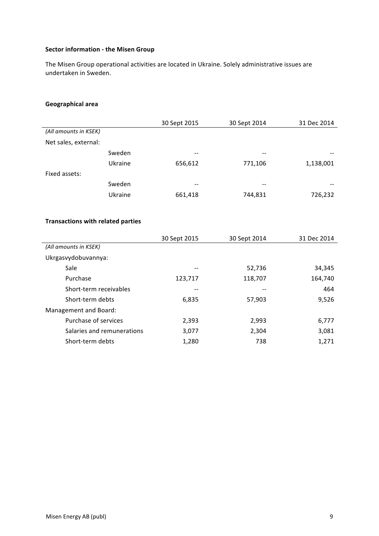# **Sector information - the Misen Group**

The Misen Group operational activities are located in Ukraine. Solely administrative issues are undertaken in Sweden.

# **Geographical area**

|                       |         | 30 Sept 2015 | 30 Sept 2014                          | 31 Dec 2014 |
|-----------------------|---------|--------------|---------------------------------------|-------------|
| (All amounts in KSEK) |         |              |                                       |             |
| Net sales, external:  |         |              |                                       |             |
|                       | Sweden  | --           | --                                    |             |
|                       | Ukraine | 656,612      | 771,106                               | 1,138,001   |
| Fixed assets:         |         |              |                                       |             |
|                       | Sweden  | --           | $\hspace{0.05cm}$ – $\hspace{0.05cm}$ | $- -$       |
|                       | Ukraine | 661,418      | 744,831                               | 726,232     |
|                       |         |              |                                       |             |
|                       |         |              |                                       |             |

# **Transactions with related parties**

|                            | 30 Sept 2015 | 30 Sept 2014 | 31 Dec 2014 |
|----------------------------|--------------|--------------|-------------|
| (All amounts in KSEK)      |              |              |             |
| Ukrgasvydobuvannya:        |              |              |             |
| Sale                       | --           | 52,736       | 34,345      |
| Purchase                   | 123,717      | 118,707      | 164,740     |
| Short-term receivables     | --           | --           | 464         |
| Short-term debts           | 6,835        | 57,903       | 9,526       |
| Management and Board:      |              |              |             |
| Purchase of services       | 2,393        | 2,993        | 6,777       |
| Salaries and remunerations | 3,077        | 2,304        | 3,081       |
| Short-term debts           | 1,280        | 738          | 1,271       |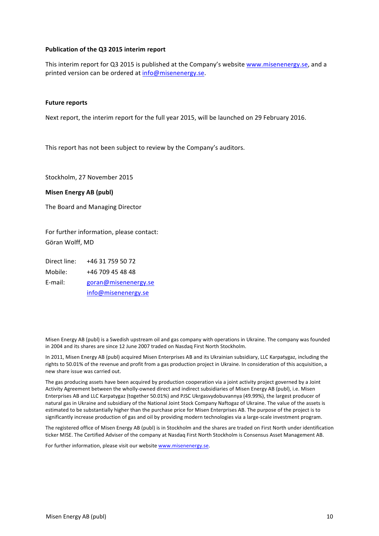### **Publication of the Q3 2015 interim report**

This interim report for Q3 2015 is published at the Company's website www.misenenergy.se, and a printed version can be ordered at info@misenenergy.se.

#### **Future reports**

Next report, the interim report for the full year 2015, will be launched on 29 February 2016.

This report has not been subject to review by the Company's auditors.

Stockholm, 27 November 2015

#### **Misen Energy AB (publ)**

The Board and Managing Director

For further information, please contact: Göran Wolff, MD

Direct line: +46 31 759 50 72 Mobile: +46 709 45 48 48 E-mail: goran@misenenergy.se info@misenenergy.se

Misen Energy AB (publ) is a Swedish upstream oil and gas company with operations in Ukraine. The company was founded in 2004 and its shares are since 12 June 2007 traded on Nasdaq First North Stockholm.

In 2011, Misen Energy AB (publ) acquired Misen Enterprises AB and its Ukrainian subsidiary, LLC Karpatygaz, including the rights to 50.01% of the revenue and profit from a gas production project in Ukraine. In consideration of this acquisition, a new share issue was carried out.

The gas producing assets have been acquired by production cooperation via a joint activity project governed by a Joint Activity Agreement between the wholly-owned direct and indirect subsidiaries of Misen Energy AB (publ), i.e. Misen Enterprises AB and LLC Karpatygaz (together 50.01%) and PJSC Ukrgasvydobuvannya (49.99%), the largest producer of natural gas in Ukraine and subsidiary of the National Joint Stock Company Naftogaz of Ukraine. The value of the assets is estimated to be substantially higher than the purchase price for Misen Enterprises AB. The purpose of the project is to significantly increase production of gas and oil by providing modern technologies via a large-scale investment program.

The registered office of Misen Energy AB (publ) is in Stockholm and the shares are traded on First North under identification ticker MISE. The Certified Adviser of the company at Nasdaq First North Stockholm is Consensus Asset Management AB.

For further information, please visit our website www.misenenergy.se.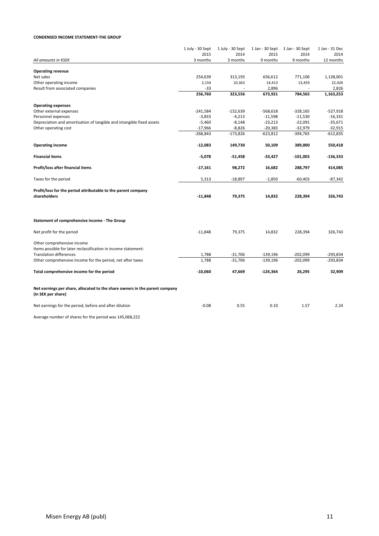#### **CONDENSED INCOME STATEMENT-THE GROUP**

|                                                                                                                                | 1 July - 30 Sept | 1 July - 30 Sept | 1 Jan - 30 Sept | 1 Jan - 30 Sept | 1 Jan - 31 Dec |
|--------------------------------------------------------------------------------------------------------------------------------|------------------|------------------|-----------------|-----------------|----------------|
|                                                                                                                                | 2015             | 2014             | 2015            | 2014            | 2014           |
| All amounts in KSEK                                                                                                            | 3 months         | 3 months         | 9 months        | 9 months        | 12 months      |
| <b>Operating revenue</b>                                                                                                       |                  |                  |                 |                 |                |
| Net sales                                                                                                                      | 254,639          | 313,193          | 656,612         | 771,106         | 1,138,001      |
| Other operating income                                                                                                         | 2,154            | 10,363           | 14,413          | 13,459          | 22,426         |
| Result from associated companies                                                                                               | -33              |                  | 2,896           |                 | 2,826          |
|                                                                                                                                | 256,760          | 323,556          | 673,921         | 784,565         | 1,163,253      |
| <b>Operating expenses</b>                                                                                                      |                  |                  |                 |                 |                |
| Other external expenses                                                                                                        | $-241,584$       | $-152,639$       | $-568,618$      | $-328,165$      | $-527,918$     |
| Personnel expenses                                                                                                             | $-3,833$         | $-4,213$         | $-11,598$       | $-11,530$       | $-16,331$      |
| Depreciation and amortisation of tangible and intangible fixed assets                                                          | $-5,460$         | $-8,148$         | $-23,213$       | $-22,091$       | $-35,671$      |
| Other operating cost                                                                                                           | $-17,966$        | $-8,826$         | $-20,383$       | $-32,979$       | $-32,915$      |
|                                                                                                                                | $-268,843$       | $-173,826$       | $-623,812$      | -394,765        | $-612,835$     |
| <b>Operating income</b>                                                                                                        | $-12,083$        | 149,730          | 50,109          | 389,800         | 550,418        |
| <b>Financial items</b>                                                                                                         | $-5,078$         | $-51,458$        | $-33,427$       | $-101,003$      | $-136,333$     |
| Profit/loss after financial items                                                                                              | $-17,161$        | 98,272           | 16,682          | 288,797         | 414,085        |
| Taxes for the period                                                                                                           | 5,313            | $-18,897$        | $-1,850$        | $-60,403$       | $-87,342$      |
|                                                                                                                                |                  |                  |                 |                 |                |
| Profit/loss for the period attributable to the parent company<br>shareholders                                                  | $-11,848$        | 79,375           | 14,832          | 228,394         | 326,743        |
| Statement of comprehensive income - The Group                                                                                  |                  |                  |                 |                 |                |
| Net profit for the period                                                                                                      | $-11,848$        | 79,375           | 14,832          | 228,394         | 326,743        |
| Other comprehensive income<br>Items possible for later reclassification in income statement:<br><b>Translation differences</b> | 1,788            | $-31,706$        | $-139,196$      | $-202,099$      | -293,834       |
|                                                                                                                                | 1,788            | $-31,706$        | $-139,196$      | $-202,099$      | $-293,834$     |
| Other comprehensive income for the period, net after taxes                                                                     |                  |                  |                 |                 |                |
| Total comprehensive income for the period                                                                                      | $-10,060$        | 47,669           | $-124,364$      | 26,295          | 32,909         |
| Net earnings per share, allocated to the share owners in the parent company<br>(in SEK per share)                              |                  |                  |                 |                 |                |
| Net earnings for the period, before and after dilution                                                                         | $-0.08$          | 0.55             | 0.10            | 1.57            | 2.24           |
|                                                                                                                                |                  |                  |                 |                 |                |

Average number of shares for the period was 145,068,222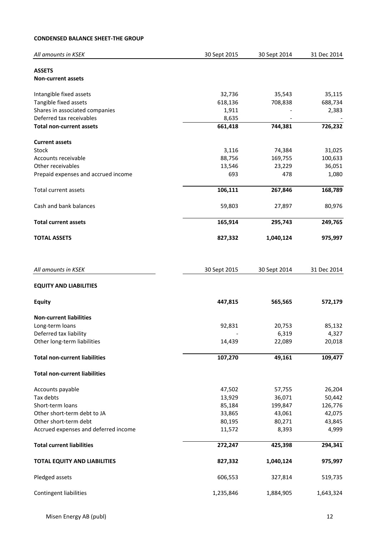# **CONDENSED BALANCE SHEET-THE GROUP**

| All amounts in KSEK                  | 30 Sept 2015 | 30 Sept 2014 | 31 Dec 2014 |
|--------------------------------------|--------------|--------------|-------------|
| <b>ASSETS</b><br>Non-current assets  |              |              |             |
| Intangible fixed assets              | 32,736       | 35,543       | 35,115      |
| Tangible fixed assets                | 618,136      | 708,838      | 688,734     |
| Shares in associated companies       | 1,911        |              | 2,383       |
| Deferred tax receivables             | 8,635        |              |             |
| <b>Total non-current assets</b>      | 661,418      | 744,381      | 726,232     |
| <b>Current assets</b>                |              |              |             |
| Stock                                | 3,116        | 74,384       | 31,025      |
| Accounts receivable                  | 88,756       | 169,755      | 100,633     |
| Other receivables                    | 13,546       | 23,229       | 36,051      |
| Prepaid expenses and accrued income  | 693          | 478          | 1,080       |
| Total current assets                 | 106,111      | 267,846      | 168,789     |
| Cash and bank balances               | 59,803       | 27,897       | 80,976      |
| <b>Total current assets</b>          | 165,914      | 295,743      | 249,765     |
| <b>TOTAL ASSETS</b>                  | 827,332      | 1,040,124    | 975,997     |
| All amounts in KSEK                  | 30 Sept 2015 | 30 Sept 2014 | 31 Dec 2014 |
| <b>EQUITY AND LIABILITIES</b>        |              |              |             |
| <b>Equity</b>                        | 447,815      | 565,565      | 572,179     |
| <b>Non-current liabilities</b>       |              |              |             |
| Long-term loans                      | 92,831       | 20,753       | 85,132      |
| Deferred tax liability               |              | 6,319        | 4,327       |
| Other long-term liabilities          | 14,439       | 22,089       | 20,018      |
| <b>Total non-current liabilities</b> | 107,270      | 49,161       | 109,477     |
| <b>Total non-current liabilities</b> |              |              |             |
| Accounts payable                     | 47,502       | 57,755       | 26,204      |
| Tax debts                            | 13,929       | 36,071       | 50,442      |
| Short-term loans                     | 85,184       | 199,847      | 126,776     |
| Other short-term debt to JA          | 33,865       | 43,061       | 42,075      |
| Other short-term debt                | 80,195       | 80,271       | 43,845      |
| Accrued expenses and deferred income | 11,572       | 8,393        | 4,999       |
| <b>Total current liabilities</b>     | 272,247      | 425,398      | 294,341     |
| <b>TOTAL EQUITY AND LIABILITIES</b>  | 827,332      | 1,040,124    | 975,997     |
| Pledged assets                       | 606,553      | 327,814      | 519,735     |
| <b>Contingent liabilities</b>        | 1,235,846    | 1,884,905    | 1,643,324   |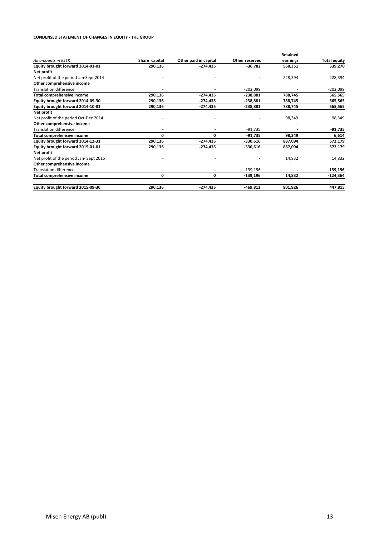#### **CONDENSED STATEMENT OF CHANGES IN EQUITY - THE GROUP**

|                                        |               |                       |                | Retained |                     |
|----------------------------------------|---------------|-----------------------|----------------|----------|---------------------|
| All amounts in KSEK                    | Share capital | Other paid in capital | Other reserves | earnings | <b>Total equity</b> |
| Equity brought forward 2014-01-01      | 290,136       | -274,435              | -36,782        | 560,351  | 539,270             |
| Net profit                             |               |                       |                |          |                     |
| Net profit of the period Jan-Sept 2014 |               |                       |                | 228,394  | 228,394             |
| Other comprehensive income             |               |                       |                |          |                     |
| <b>Translation difference</b>          |               |                       | $-202,099$     |          | $-202,099$          |
| Total comprehensive income             | 290,136       | -274,435              | $-238,881$     | 788,745  | 565,565             |
| Equity brought forward 2014-09-30      | 290,136       | -274,435              | $-238,881$     | 788,745  | 565,565             |
| Equity brought forward 2014-10-01      | 290,136       | -274,435              | $-238,881$     | 788,745  | 565,565             |
| Net profit                             |               |                       |                |          |                     |
| Net profit of the period Oct-Dec 2014  |               |                       |                | 98,349   | 98,349              |
| Other comprehensive income             |               |                       |                |          |                     |
| <b>Translation difference</b>          |               |                       | -91,735        |          | -91,735             |
| Total comprehensive income             | 0             | 0                     | -91,735        | 98,349   | 6,614               |
| Equity brought forward 2014-12-31      | 290,136       | -274,435              | -330,616       | 887,094  | 572,179             |
| Equity brought forward 2015-01-01      | 290,136       | -274,435              | $-330,616$     | 887,094  | 572,179             |
| Net profit                             |               |                       |                |          |                     |
| Net profit of the period Jan-Sept 2015 |               |                       |                | 14,832   | 14,832              |
| Other comprehensive income             |               |                       |                |          |                     |
| <b>Translation difference</b>          |               |                       | $-139,196$     |          | $-139,196$          |
| Total comprehensive income             | 0             | 0                     | -139,196       | 14,832   | $-124,364$          |
| Equity brought forward 2015-09-30      | 290,136       | -274,435              | -469,812       | 901,926  | 447,815             |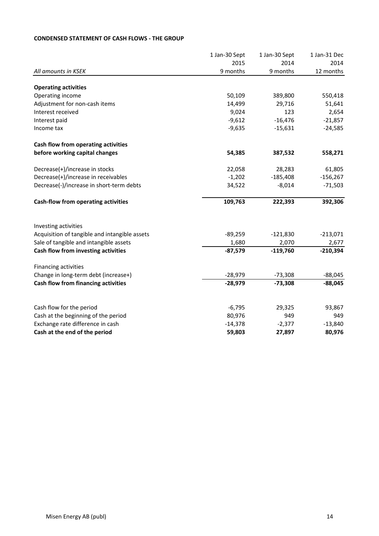# **CONDENSED STATEMENT OF CASH FLOWS - THE GROUP**

|                                               | 1 Jan-30 Sept | 1 Jan-30 Sept | 1 Jan-31 Dec |
|-----------------------------------------------|---------------|---------------|--------------|
|                                               | 2015          | 2014          | 2014         |
| All amounts in KSEK                           | 9 months      | 9 months      | 12 months    |
|                                               |               |               |              |
| <b>Operating activities</b>                   |               |               |              |
| Operating income                              | 50,109        | 389,800       | 550,418      |
| Adjustment for non-cash items                 | 14,499        | 29,716        | 51,641       |
| Interest received                             | 9,024         | 123           | 2,654        |
| Interest paid                                 | $-9,612$      | $-16,476$     | $-21,857$    |
| Income tax                                    | $-9,635$      | $-15,631$     | $-24,585$    |
| Cash flow from operating activities           |               |               |              |
| before working capital changes                | 54,385        | 387,532       | 558,271      |
| Decrease(+)/increase in stocks                | 22,058        | 28,283        | 61,805       |
| Decrease(+)/increase in receivables           | $-1,202$      | $-185,408$    | $-156,267$   |
| Decrease(-)/increase in short-term debts      | 34,522        | $-8,014$      | $-71,503$    |
| Cash-flow from operating activities           | 109,763       | 222,393       | 392,306      |
| Investing activities                          |               |               |              |
| Acquisition of tangible and intangible assets | $-89,259$     | $-121,830$    | $-213,071$   |
| Sale of tangible and intangible assets        | 1,680         | 2,070         | 2,677        |
| Cash flow from investing activities           | $-87,579$     | $-119,760$    | $-210,394$   |
| Financing activities                          |               |               |              |
| Change in long-term debt (increase+)          | $-28,979$     | $-73,308$     | $-88,045$    |
| Cash flow from financing activities           | $-28,979$     | $-73,308$     | $-88,045$    |
|                                               |               |               |              |
| Cash flow for the period                      | $-6,795$      | 29,325        | 93,867       |
| Cash at the beginning of the period           | 80,976        | 949           | 949          |
| Exchange rate difference in cash              | $-14,378$     | $-2,377$      | $-13,840$    |
| Cash at the end of the period                 | 59,803        | 27,897        | 80,976       |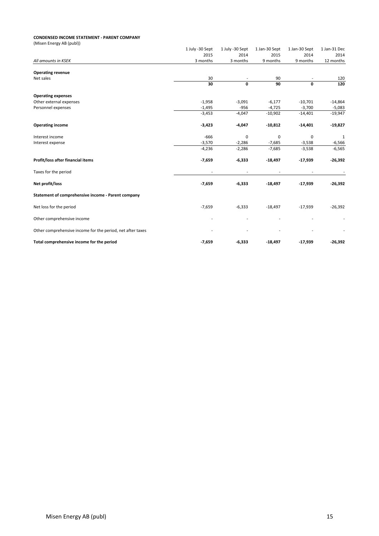#### **CONDENSED INCOME STATEMENT - PARENT COMPANY**

| (Misen Energy AB (publ))                                   |                 |                 |               |               |              |
|------------------------------------------------------------|-----------------|-----------------|---------------|---------------|--------------|
|                                                            | 1 July -30 Sept | 1 July -30 Sept | 1 Jan-30 Sept | 1 Jan-30 Sept | 1 Jan-31 Dec |
|                                                            | 2015            | 2014            | 2015          | 2014          | 2014         |
| All amounts in KSEK                                        | 3 months        | 3 months        | 9 months      | 9 months      | 12 months    |
| <b>Operating revenue</b>                                   |                 |                 |               |               |              |
| Net sales                                                  | 30              |                 | 90            |               | 120          |
|                                                            | 30              | 0               | 90            | 0             | 120          |
| <b>Operating expenses</b>                                  |                 |                 |               |               |              |
| Other external expenses                                    | $-1,958$        | $-3,091$        | $-6,177$      | $-10,701$     | $-14,864$    |
| Personnel expenses                                         | $-1,495$        | $-956$          | $-4,725$      | $-3,700$      | $-5,083$     |
|                                                            | $-3,453$        | $-4,047$        | $-10,902$     | $-14,401$     | $-19,947$    |
| <b>Operating income</b>                                    | $-3,423$        | $-4,047$        | $-10,812$     | $-14,401$     | $-19,827$    |
| Interest income                                            | $-666$          | $\mathbf 0$     | $\mathbf 0$   | $\mathbf 0$   | 1            |
| Interest expense                                           | $-3,570$        | $-2,286$        | $-7,685$      | $-3,538$      | $-6,566$     |
|                                                            | $-4,236$        | $-2,286$        | $-7,685$      | $-3,538$      | $-6,565$     |
| Profit/loss after financial items                          | $-7,659$        | $-6,333$        | $-18,497$     | $-17,939$     | $-26,392$    |
| Taxes for the period                                       |                 |                 |               |               |              |
| Net profit/loss                                            | $-7,659$        | $-6,333$        | $-18,497$     | $-17,939$     | $-26,392$    |
| Statement of comprehensive income - Parent company         |                 |                 |               |               |              |
| Net loss for the period                                    | $-7,659$        | $-6,333$        | $-18,497$     | $-17,939$     | $-26,392$    |
| Other comprehensive income                                 |                 |                 |               |               |              |
| Other comprehensive income for the period, net after taxes |                 |                 |               |               |              |
| Total comprehensive income for the period                  | $-7,659$        | $-6,333$        | $-18,497$     | $-17,939$     | $-26,392$    |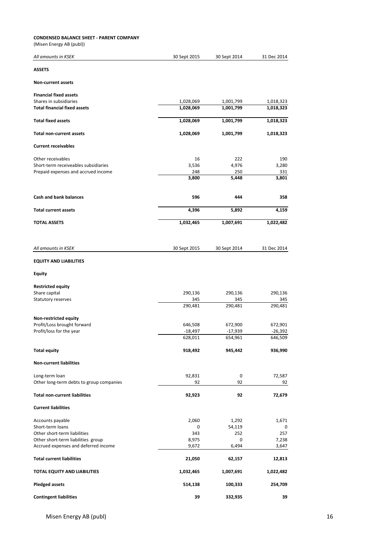#### **CONDENSED BALANCE SHEET - PARENT COMPANY**

(Misen Energy AB (publ))

| All amounts in KSEK                      | 30 Sept 2015 | 30 Sept 2014 | 31 Dec 2014 |
|------------------------------------------|--------------|--------------|-------------|
| <b>ASSETS</b>                            |              |              |             |
| Non-current assets                       |              |              |             |
| <b>Financial fixed assets</b>            |              |              |             |
| Shares in subsidiaries                   | 1,028,069    | 1,001,799    | 1,018,323   |
| <b>Total financial fixed assets</b>      | 1,028,069    | 1,001,799    | 1,018,323   |
| <b>Total fixed assets</b>                | 1,028,069    | 1,001,799    | 1,018,323   |
| Total non-current assets                 | 1,028,069    | 1,001,799    | 1,018,323   |
| <b>Current receivables</b>               |              |              |             |
| Other receivables                        | 16           | 222          | 190         |
| Short-term receiveables subsidiaries     | 3,536        | 4,976        | 3,280       |
| Prepaid expenses and accrued income      | 248          | 250          | 331         |
|                                          | 3,800        | 5,448        | 3,801       |
| <b>Cash and bank balances</b>            | 596          | 444          | 358         |
| <b>Total current assets</b>              | 4,396        | 5,892        | 4,159       |
| <b>TOTAL ASSETS</b>                      | 1,032,465    | 1,007,691    | 1,022,482   |
|                                          |              |              |             |
| All amounts in KSEK                      | 30 Sept 2015 | 30 Sept 2014 | 31 Dec 2014 |
| <b>EQUITY AND LIABILITIES</b>            |              |              |             |
| <b>Equity</b>                            |              |              |             |
| <b>Restricted equity</b>                 |              |              |             |
| Share capital                            | 290,136      | 290,136      | 290,136     |
| Statutory reserves                       | 345          | 345          | 345         |
|                                          | 290,481      | 290,481      | 290,481     |
| Non-restricted equity                    |              |              |             |
| Profit/Loss brought forward              | 646,508      | 672,900      | 672,901     |
| Profit/loss for the year                 | $-18,497$    | $-17,939$    | $-26,392$   |
|                                          | 628,011      | 654,961      | 646,509     |
| <b>Total equity</b>                      | 918,492      | 945,442      | 936,990     |
| <b>Non-current liabilities</b>           |              |              |             |
| Long-term loan                           | 92,831       | 0            | 72,587      |
| Other long-term debts to group companies | 92           | 92           | 92          |
| <b>Total non-current liabilities</b>     | 92,923       | 92           | 72,679      |
| <b>Current liabilities</b>               |              |              |             |
| Accounts payable                         | 2,060        | 1,292        | 1,671       |
| Short-term loans                         | 0            | 54,119       | 0           |
| Other short-term liabilities             | 343          | 252          | 257         |
| Other short-term liabilities group       | 8,975        | 0            | 7,238       |
| Accrued expenses and deferred income     | 9,672        | 6,494        | 3,647       |
| <b>Total current liabilities</b>         | 21,050       | 62,157       | 12,813      |
| TOTAL EQUITY AND LIABILITIES             | 1,032,465    | 1,007,691    | 1,022,482   |
| <b>Pledged assets</b>                    | 514,138      | 100,333      | 254,709     |
| <b>Contingent liabilities</b>            | 39           | 332,935      | 39          |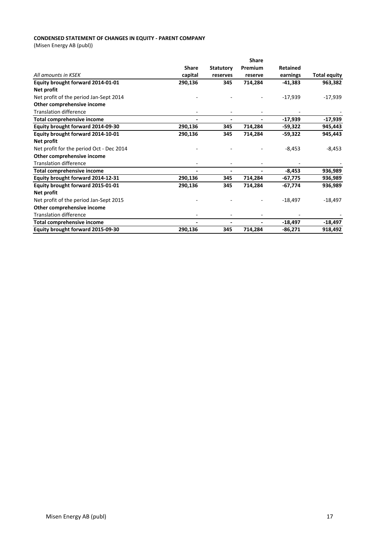### **CONDENSED STATEMENT OF CHANGES IN EQUITY - PARENT COMPANY**

(Misen Energy AB (publ))

|                                          |                          |                  | <b>Share</b>   |                 |                     |
|------------------------------------------|--------------------------|------------------|----------------|-----------------|---------------------|
|                                          | <b>Share</b>             | <b>Statutory</b> | Premium        | <b>Retained</b> |                     |
| All amounts in KSEK                      | capital                  | reserves         | reserve        | earnings        | <b>Total equity</b> |
| Equity brought forward 2014-01-01        | 290,136                  | 345              | 714,284        | $-41,383$       | 963,382             |
| Net profit                               |                          |                  |                |                 |                     |
| Net profit of the period Jan-Sept 2014   |                          |                  |                | $-17,939$       | $-17,939$           |
| Other comprehensive income               |                          |                  |                |                 |                     |
| <b>Translation difference</b>            |                          |                  |                |                 |                     |
| Total comprehensive income               | $\blacksquare$           |                  | $\blacksquare$ | $-17,939$       | $-17,939$           |
| Equity brought forward 2014-09-30        | 290,136                  | 345              | 714,284        | $-59,322$       | 945,443             |
| Equity brought forward 2014-10-01        | 290,136                  | 345              | 714,284        | -59,322         | 945,443             |
| Net profit                               |                          |                  |                |                 |                     |
| Net profit for the period Oct - Dec 2014 |                          |                  |                | $-8,453$        | $-8,453$            |
| Other comprehensive income               |                          |                  |                |                 |                     |
| <b>Translation difference</b>            |                          |                  |                |                 |                     |
| <b>Total comprehensive income</b>        | $\blacksquare$           |                  |                | $-8,453$        | 936,989             |
| Equity brought forward 2014-12-31        | 290,136                  | 345              | 714,284        | $-67,775$       | 936,989             |
| Equity brought forward 2015-01-01        | 290,136                  | 345              | 714,284        | -67,774         | 936,989             |
| Net profit                               |                          |                  |                |                 |                     |
| Net profit of the period Jan-Sept 2015   |                          |                  |                | $-18,497$       | $-18,497$           |
| Other comprehensive income               |                          |                  |                |                 |                     |
| <b>Translation difference</b>            |                          |                  |                |                 |                     |
| <b>Total comprehensive income</b>        | $\overline{\phantom{a}}$ |                  |                | $-18,497$       | $-18,497$           |
| Equity brought forward 2015-09-30        | 290,136                  | 345              | 714,284        | $-86,271$       | 918,492             |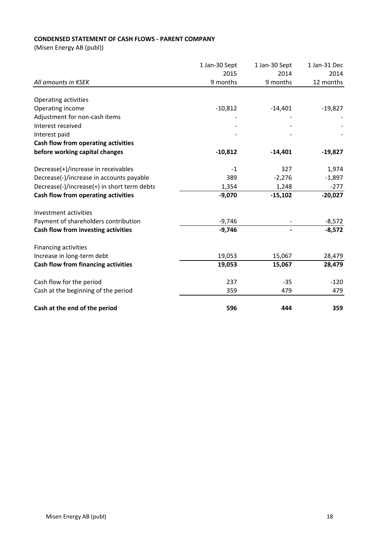# **CONDENSED STATEMENT OF CASH FLOWS - PARENT COMPANY**

(Misen Energy AB (publ))

| All amounts in KSEK                         | 1 Jan-30 Sept | 1 Jan-30 Sept<br>2014<br>9 months | 1 Jan-31 Dec<br>2014<br>12 months |
|---------------------------------------------|---------------|-----------------------------------|-----------------------------------|
|                                             | 2015          |                                   |                                   |
|                                             | 9 months      |                                   |                                   |
|                                             |               |                                   |                                   |
| Operating activities                        |               |                                   |                                   |
| Operating income                            | $-10,812$     | $-14,401$                         | $-19,827$                         |
| Adjustment for non-cash items               |               |                                   |                                   |
| Interest received                           |               |                                   |                                   |
| Interest paid                               |               |                                   |                                   |
| Cash flow from operating activities         |               |                                   |                                   |
| before working capital changes              | $-10,812$     | $-14,401$                         | $-19,827$                         |
| Decrease(+)/increase in receivables         | $-1$          | 327                               | 1,974                             |
| Decrease(-)/increase in accounts payable    | 389           | $-2,276$                          | $-1,897$                          |
| Decrease(-)/increase(+) in short term debts | 1,354         | 1,248                             | $-277$                            |
| Cash flow from operating activities         | $-9,070$      | $-15,102$                         | $-20,027$                         |
|                                             |               |                                   |                                   |
| Investment activities                       |               |                                   |                                   |
| Payment of shareholders contribution        | $-9,746$      |                                   | $-8,572$                          |
| Cash flow from investing activities         | $-9,746$      |                                   | $-8,572$                          |
| Financing activities                        |               |                                   |                                   |
| Increase in long-term debt                  | 19,053        | 15,067                            | 28,479                            |
| Cash flow from financing activities         | 19,053        | 15,067                            | 28,479                            |
| Cash flow for the period                    | 237           | $-35$                             | $-120$                            |
| Cash at the beginning of the period         | 359           | 479                               | 479                               |
|                                             |               |                                   |                                   |
| Cash at the end of the period               | 596           | 444                               | 359                               |